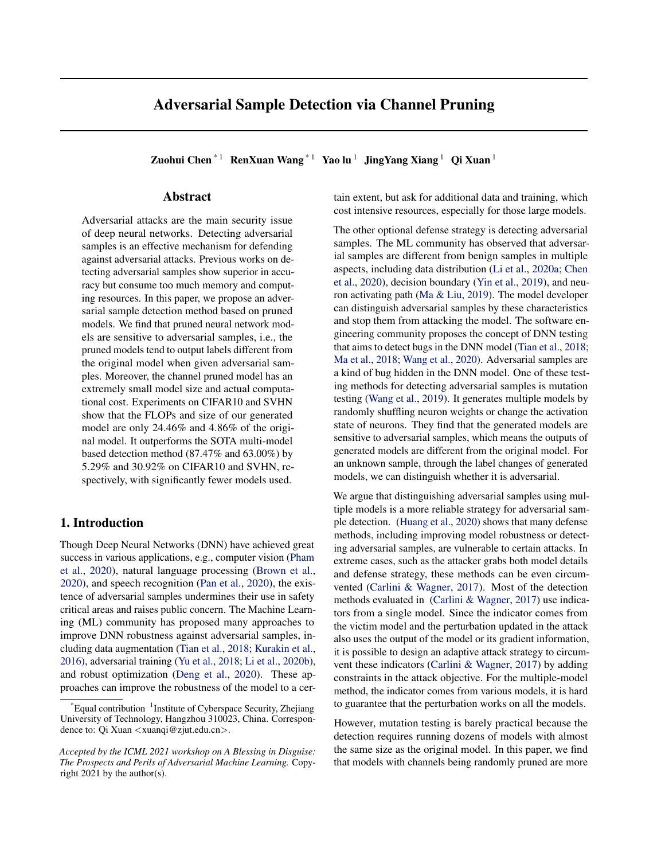# Adversarial Sample Detection via Channel Pruning

Zuohui Chen<sup>\*1</sup> RenXuan Wang<sup>\*1</sup> Yao lu<sup>1</sup> JingYang Xiang<sup>1</sup> Qi Xuan<sup>1</sup>

# Abstract

Adversarial attacks are the main security issue of deep neural networks. Detecting adversarial samples is an effective mechanism for defending against adversarial attacks. Previous works on detecting adversarial samples show superior in accuracy but consume too much memory and computing resources. In this paper, we propose an adversarial sample detection method based on pruned models. We find that pruned neural network models are sensitive to adversarial samples, i.e., the pruned models tend to output labels different from the original model when given adversarial samples. Moreover, the channel pruned model has an extremely small model size and actual computational cost. Experiments on CIFAR10 and SVHN show that the FLOPs and size of our generated model are only 24.46% and 4.86% of the original model. It outperforms the SOTA multi-model based detection method (87.47% and 63.00%) by 5.29% and 30.92% on CIFAR10 and SVHN, respectively, with significantly fewer models used.

## 1. Introduction

Though Deep Neural Networks (DNN) have achieved great success in various applications, e.g., computer vision [\(Pham](#page-4-0) [et al.,](#page-4-0) [2020\)](#page-4-0), natural language processing [\(Brown et al.,](#page-4-0) [2020\)](#page-4-0), and speech recognition [\(Pan et al.,](#page-4-0) [2020\)](#page-4-0), the existence of adversarial samples undermines their use in safety critical areas and raises public concern. The Machine Learning (ML) community has proposed many approaches to improve DNN robustness against adversarial samples, including data augmentation [\(Tian et al.,](#page-4-0) [2018;](#page-4-0) [Kurakin et al.,](#page-4-0) [2016\)](#page-4-0), adversarial training [\(Yu et al.,](#page-4-0) [2018;](#page-4-0) [Li et al.,](#page-4-0) [2020b\)](#page-4-0), and robust optimization [\(Deng et al.,](#page-4-0) [2020\)](#page-4-0). These approaches can improve the robustness of the model to a certain extent, but ask for additional data and training, which cost intensive resources, especially for those large models.

The other optional defense strategy is detecting adversarial samples. The ML community has observed that adversarial samples are different from benign samples in multiple aspects, including data distribution [\(Li et al.,](#page-4-0) [2020a;](#page-4-0) [Chen](#page-4-0) [et al.,](#page-4-0) [2020\)](#page-4-0), decision boundary [\(Yin et al.,](#page-4-0) [2019\)](#page-4-0), and neuron activating path [\(Ma & Liu,](#page-4-0) [2019\)](#page-4-0). The model developer can distinguish adversarial samples by these characteristics and stop them from attacking the model. The software engineering community proposes the concept of DNN testing that aims to detect bugs in the DNN model [\(Tian et al.,](#page-4-0) [2018;](#page-4-0) [Ma et al.,](#page-4-0) [2018;](#page-4-0) [Wang et al.,](#page-4-0) [2020\)](#page-4-0). Adversarial samples are a kind of bug hidden in the DNN model. One of these testing methods for detecting adversarial samples is mutation testing [\(Wang et al.,](#page-4-0) [2019\)](#page-4-0). It generates multiple models by randomly shuffling neuron weights or change the activation state of neurons. They find that the generated models are sensitive to adversarial samples, which means the outputs of generated models are different from the original model. For an unknown sample, through the label changes of generated models, we can distinguish whether it is adversarial.

We argue that distinguishing adversarial samples using multiple models is a more reliable strategy for adversarial sample detection. [\(Huang et al.,](#page-4-0) [2020\)](#page-4-0) shows that many defense methods, including improving model robustness or detecting adversarial samples, are vulnerable to certain attacks. In extreme cases, such as the attacker grabs both model details and defense strategy, these methods can be even circumvented [\(Carlini & Wagner,](#page-4-0) [2017\)](#page-4-0). Most of the detection methods evaluated in [\(Carlini & Wagner,](#page-4-0) [2017\)](#page-4-0) use indicators from a single model. Since the indicator comes from the victim model and the perturbation updated in the attack also uses the output of the model or its gradient information, it is possible to design an adaptive attack strategy to circumvent these indicators [\(Carlini & Wagner,](#page-4-0) [2017\)](#page-4-0) by adding constraints in the attack objective. For the multiple-model method, the indicator comes from various models, it is hard to guarantee that the perturbation works on all the models.

However, mutation testing is barely practical because the detection requires running dozens of models with almost the same size as the original model. In this paper, we find that models with channels being randomly pruned are more

<sup>\*</sup>Equal contribution <sup>1</sup>Institute of Cyberspace Security, Zhejiang University of Technology, Hangzhou 310023, China. Correspondence to: Qi Xuan <xuanqi@zjut.edu.cn>.

*Accepted by the ICML 2021 workshop on A Blessing in Disguise: The Prospects and Perils of Adversarial Machine Learning.* Copyright 2021 by the author(s).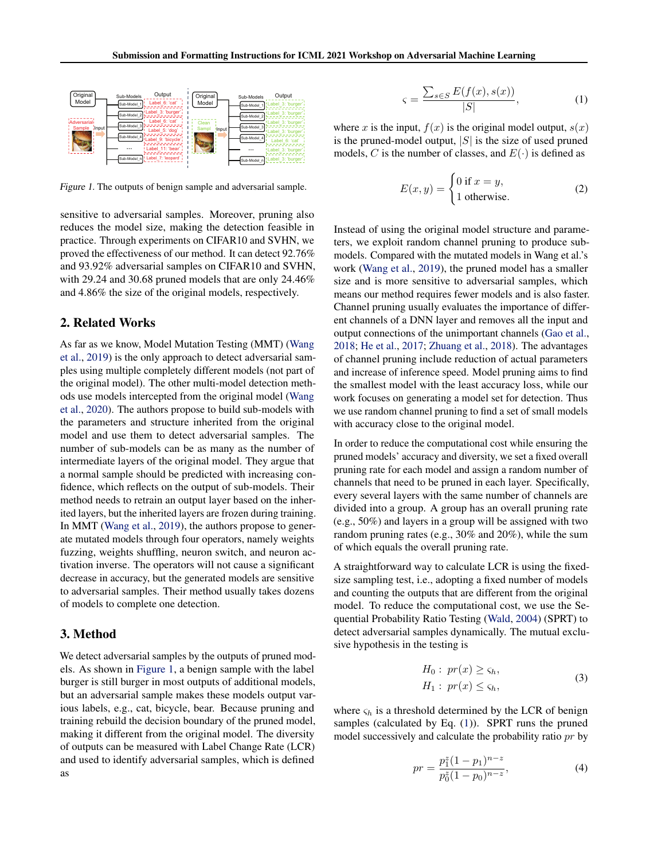

Figure 1. The outputs of benign sample and adversarial sample.

sensitive to adversarial samples. Moreover, pruning also reduces the model size, making the detection feasible in practice. Through experiments on CIFAR10 and SVHN, we proved the effectiveness of our method. It can detect 92.76% and 93.92% adversarial samples on CIFAR10 and SVHN, with 29.24 and 30.68 pruned models that are only 24.46% and 4.86% the size of the original models, respectively.

## 2. Related Works

As far as we know, Model Mutation Testing (MMT) [\(Wang](#page-4-0) [et al.,](#page-4-0) [2019\)](#page-4-0) is the only approach to detect adversarial samples using multiple completely different models (not part of the original model). The other multi-model detection methods use models intercepted from the original model [\(Wang](#page-4-0) [et al.,](#page-4-0) [2020\)](#page-4-0). The authors propose to build sub-models with the parameters and structure inherited from the original model and use them to detect adversarial samples. The number of sub-models can be as many as the number of intermediate layers of the original model. They argue that a normal sample should be predicted with increasing confidence, which reflects on the output of sub-models. Their method needs to retrain an output layer based on the inherited layers, but the inherited layers are frozen during training. In MMT [\(Wang et al.,](#page-4-0) [2019\)](#page-4-0), the authors propose to generate mutated models through four operators, namely weights fuzzing, weights shuffling, neuron switch, and neuron activation inverse. The operators will not cause a significant decrease in accuracy, but the generated models are sensitive to adversarial samples. Their method usually takes dozens of models to complete one detection.

## 3. Method

We detect adversarial samples by the outputs of pruned models. As shown in Figure 1, a benign sample with the label burger is still burger in most outputs of additional models, but an adversarial sample makes these models output various labels, e.g., cat, bicycle, bear. Because pruning and training rebuild the decision boundary of the pruned model, making it different from the original model. The diversity of outputs can be measured with Label Change Rate (LCR) and used to identify adversarial samples, which is defined as

$$
\varsigma = \frac{\sum_{s \in S} E(f(x), s(x))}{|S|},\tag{1}
$$

where x is the input,  $f(x)$  is the original model output,  $s(x)$ is the pruned-model output,  $|S|$  is the size of used pruned models, C is the number of classes, and  $E(\cdot)$  is defined as

$$
E(x, y) = \begin{cases} 0 \text{ if } x = y, \\ 1 \text{ otherwise.} \end{cases}
$$
 (2)

Instead of using the original model structure and parameters, we exploit random channel pruning to produce submodels. Compared with the mutated models in Wang et al.'s work [\(Wang et al.,](#page-4-0) [2019\)](#page-4-0), the pruned model has a smaller size and is more sensitive to adversarial samples, which means our method requires fewer models and is also faster. Channel pruning usually evaluates the importance of different channels of a DNN layer and removes all the input and output connections of the unimportant channels [\(Gao et al.,](#page-4-0) [2018;](#page-4-0) [He et al.,](#page-4-0) [2017;](#page-4-0) [Zhuang et al.,](#page-4-0) [2018\)](#page-4-0). The advantages of channel pruning include reduction of actual parameters and increase of inference speed. Model pruning aims to find the smallest model with the least accuracy loss, while our work focuses on generating a model set for detection. Thus we use random channel pruning to find a set of small models with accuracy close to the original model.

In order to reduce the computational cost while ensuring the pruned models' accuracy and diversity, we set a fixed overall pruning rate for each model and assign a random number of channels that need to be pruned in each layer. Specifically, every several layers with the same number of channels are divided into a group. A group has an overall pruning rate (e.g., 50%) and layers in a group will be assigned with two random pruning rates (e.g., 30% and 20%), while the sum of which equals the overall pruning rate.

A straightforward way to calculate LCR is using the fixedsize sampling test, i.e., adopting a fixed number of models and counting the outputs that are different from the original model. To reduce the computational cost, we use the Sequential Probability Ratio Testing [\(Wald,](#page-4-0) [2004\)](#page-4-0) (SPRT) to detect adversarial samples dynamically. The mutual exclusive hypothesis in the testing is

$$
H_0: pr(x) \geq \varsigma_h,
$$
  
\n
$$
H_1: pr(x) \leq \varsigma_h,
$$
\n(3)

where  $\varsigma_h$  is a threshold determined by the LCR of benign samples (calculated by Eq.  $(1)$ ). SPRT runs the pruned model successively and calculate the probability ratio pr by

$$
pr = \frac{p_1^z (1 - p_1)^{n - z}}{p_0^z (1 - p_0)^{n - z}},
$$
\n(4)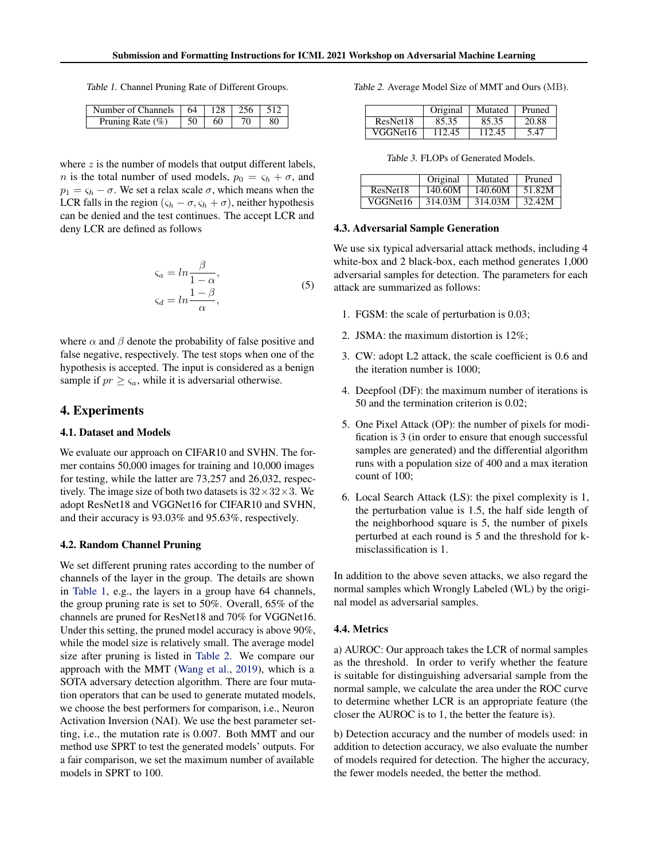<span id="page-2-0"></span>Table 1. Channel Pruning Rate of Different Groups.

| Number of Channels   64 |     | 128 | $+256$ |    |
|-------------------------|-----|-----|--------|----|
| Pruning Rate $(\% )$    | .50 | 60  |        | 80 |

where  $z$  is the number of models that output different labels, *n* is the total number of used models,  $p_0 = \varsigma_h + \sigma$ , and  $p_1 = \varsigma_h - \sigma$ . We set a relax scale  $\sigma$ , which means when the LCR falls in the region  $(\varsigma_h - \sigma, \varsigma_h + \sigma)$ , neither hypothesis can be denied and the test continues. The accept LCR and deny LCR are defined as follows

$$
\zeta_a = \ln \frac{\beta}{1 - \alpha},
$$
  
\n
$$
\zeta_d = \ln \frac{1 - \beta}{\alpha},
$$
\n(5)

where  $\alpha$  and  $\beta$  denote the probability of false positive and false negative, respectively. The test stops when one of the hypothesis is accepted. The input is considered as a benign sample if  $pr \geq \varsigma_a$ , while it is adversarial otherwise.

## 4. Experiments

#### 4.1. Dataset and Models

We evaluate our approach on CIFAR10 and SVHN. The former contains 50,000 images for training and 10,000 images for testing, while the latter are 73,257 and 26,032, respectively. The image size of both two datasets is  $32 \times 32 \times 3$ . We adopt ResNet18 and VGGNet16 for CIFAR10 and SVHN, and their accuracy is 93.03% and 95.63%, respectively.

## 4.2. Random Channel Pruning

We set different pruning rates according to the number of channels of the layer in the group. The details are shown in Table 1, e.g., the layers in a group have 64 channels, the group pruning rate is set to 50%. Overall, 65% of the channels are pruned for ResNet18 and 70% for VGGNet16. Under this setting, the pruned model accuracy is above 90%, while the model size is relatively small. The average model size after pruning is listed in Table 2. We compare our approach with the MMT [\(Wang et al.,](#page-4-0) [2019\)](#page-4-0), which is a SOTA adversary detection algorithm. There are four mutation operators that can be used to generate mutated models, we choose the best performers for comparison, i.e., Neuron Activation Inversion (NAI). We use the best parameter setting, i.e., the mutation rate is 0.007. Both MMT and our method use SPRT to test the generated models' outputs. For a fair comparison, we set the maximum number of available models in SPRT to 100.

Table 2. Average Model Size of MMT and Ours (MB).

|          | Original | Mutated | Pruned |
|----------|----------|---------|--------|
| ResNet18 | 85.35    | 85.35   | 20.88  |
| VGGNet16 | 112.45   | 112.45  | 5.47   |

| Table 3. FLOPs of Generated Models. |  |
|-------------------------------------|--|
|-------------------------------------|--|

|          | Original | Mutated | Pruned |
|----------|----------|---------|--------|
| ResNet18 | 140.60M  | 140.60M | 51.82M |
| VGGNet16 | 314.03M  | 314.03M | 32.42M |

#### 4.3. Adversarial Sample Generation

We use six typical adversarial attack methods, including 4 white-box and 2 black-box, each method generates 1,000 adversarial samples for detection. The parameters for each attack are summarized as follows:

- 1. FGSM: the scale of perturbation is 0.03;
- 2. JSMA: the maximum distortion is 12%;
- 3. CW: adopt L2 attack, the scale coefficient is 0.6 and the iteration number is 1000;
- 4. Deepfool (DF): the maximum number of iterations is 50 and the termination criterion is 0.02;
- 5. One Pixel Attack (OP): the number of pixels for modification is 3 (in order to ensure that enough successful samples are generated) and the differential algorithm runs with a population size of 400 and a max iteration count of 100;
- 6. Local Search Attack (LS): the pixel complexity is 1, the perturbation value is 1.5, the half side length of the neighborhood square is 5, the number of pixels perturbed at each round is 5 and the threshold for kmisclassification is 1.

In addition to the above seven attacks, we also regard the normal samples which Wrongly Labeled (WL) by the original model as adversarial samples.

## 4.4. Metrics

a) AUROC: Our approach takes the LCR of normal samples as the threshold. In order to verify whether the feature is suitable for distinguishing adversarial sample from the normal sample, we calculate the area under the ROC curve to determine whether LCR is an appropriate feature (the closer the AUROC is to 1, the better the feature is).

b) Detection accuracy and the number of models used: in addition to detection accuracy, we also evaluate the number of models required for detection. The higher the accuracy, the fewer models needed, the better the method.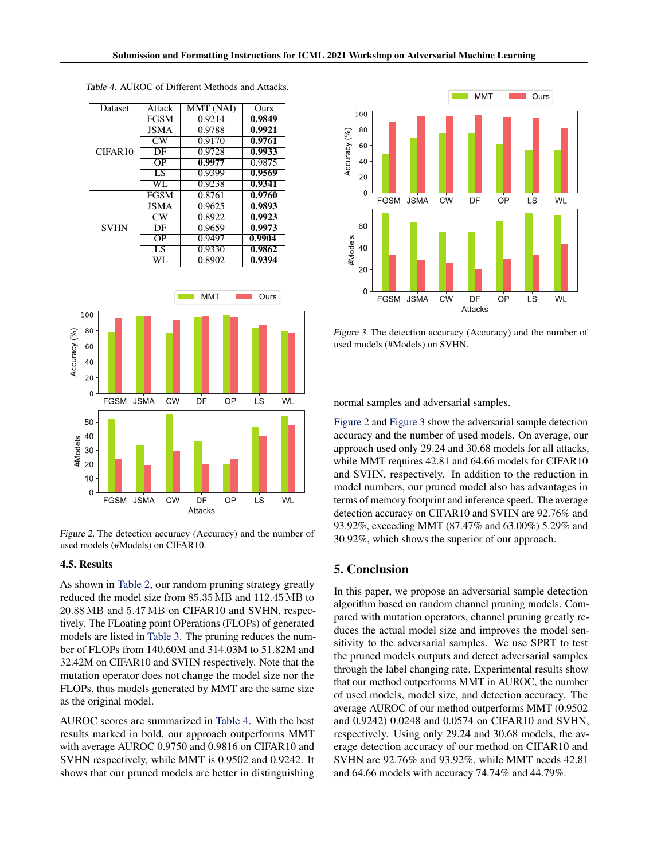





Figure 2. The detection accuracy (Accuracy) and the number of used models (#Models) on CIFAR10.

#### 4.5. Results

As shown in [Table 2,](#page-2-0) our random pruning strategy greatly reduced the model size from 85.35 MB and 112.45 MB to 20.88 MB and 5.47 MB on CIFAR10 and SVHN, respectively. The FLoating point OPerations (FLOPs) of generated models are listed in [Table 3.](#page-2-0) The pruning reduces the number of FLOPs from 140.60M and 314.03M to 51.82M and 32.42M on CIFAR10 and SVHN respectively. Note that the mutation operator does not change the model size nor the FLOPs, thus models generated by MMT are the same size as the original model.

AUROC scores are summarized in Table 4. With the best results marked in bold, our approach outperforms MMT with average AUROC 0.9750 and 0.9816 on CIFAR10 and SVHN respectively, while MMT is 0.9502 and 0.9242. It shows that our pruned models are better in distinguishing



Figure 3. The detection accuracy (Accuracy) and the number of used models (#Models) on SVHN.

normal samples and adversarial samples.

Figure 2 and Figure 3 show the adversarial sample detection accuracy and the number of used models. On average, our approach used only 29.24 and 30.68 models for all attacks, while MMT requires 42.81 and 64.66 models for CIFAR10 and SVHN, respectively. In addition to the reduction in model numbers, our pruned model also has advantages in terms of memory footprint and inference speed. The average detection accuracy on CIFAR10 and SVHN are 92.76% and 93.92%, exceeding MMT (87.47% and 63.00%) 5.29% and 30.92%, which shows the superior of our approach.

## 5. Conclusion

In this paper, we propose an adversarial sample detection algorithm based on random channel pruning models. Compared with mutation operators, channel pruning greatly reduces the actual model size and improves the model sensitivity to the adversarial samples. We use SPRT to test the pruned models outputs and detect adversarial samples through the label changing rate. Experimental results show that our method outperforms MMT in AUROC, the number of used models, model size, and detection accuracy. The average AUROC of our method outperforms MMT (0.9502 and 0.9242) 0.0248 and 0.0574 on CIFAR10 and SVHN, respectively. Using only 29.24 and 30.68 models, the average detection accuracy of our method on CIFAR10 and SVHN are 92.76% and 93.92%, while MMT needs 42.81 and 64.66 models with accuracy 74.74% and 44.79%.